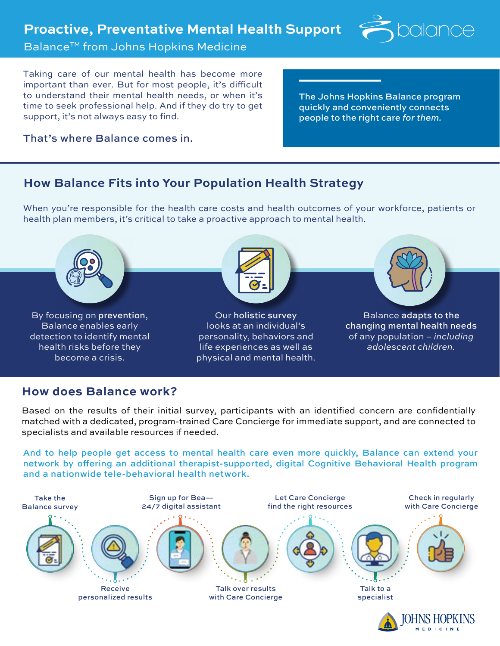

**MEDICINE** 

## **Balance™ from Johns Hopkins Medicine**

Taking care of our mental health has become more important than ever. But for most people, it's difficult to understand their mental health needs, or when it's time to seek professional help. And if they do try to get support, it's not always easy to find.

The Johns Hopkins Balance program quickly and conveniently connects people to the right care *for them.*

#### That's where Balance comes in.

## **How Balance Fits into Your Population Health Strategy**

When you're responsible for the health care costs and health outcomes of your workforce, patients or health plan members, it's critical to take a proactive approach to mental health.

Balance adapts to the changing mental health needs of any population – *including adolescent children.* Our holistic survey looks at an individual's personality, behaviors and life experiences as well as physical and mental health. By focusing on prevention, Balance enables early detection to identify mental health risks before they become a crisis.

# **How does Balance work?**

Based on the results of their initial survey, participants with an identified concern are confidentially matched with a dedicated, program-trained Care Concierge for immediate support, and are connected to specialists and available resources if needed.

And to help people get access to mental health care even more quickly, Balance can extend your network by offering an additional therapist-supported, digital Cognitive Behavioral Health program and a nationwide tele-behavioral health network.